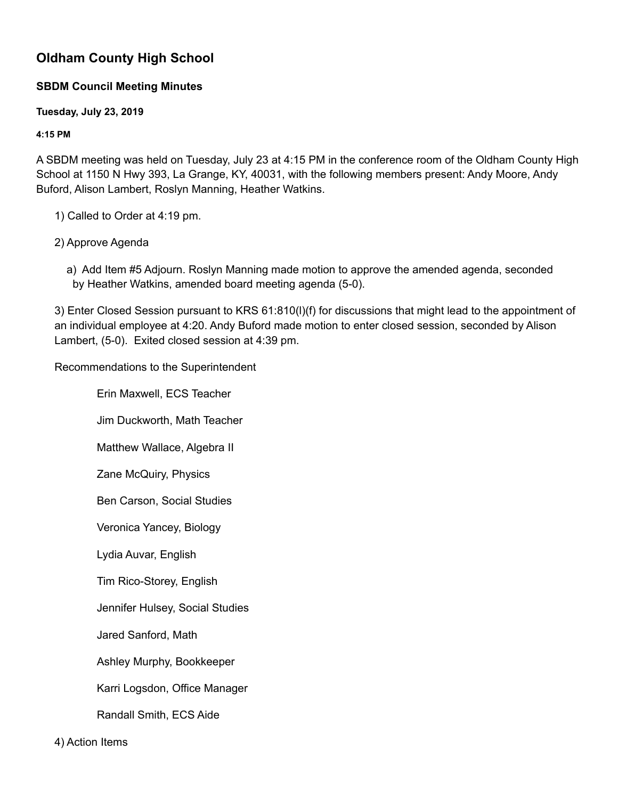## **Oldham County High School**

## **SBDM Council Meeting Minutes**

**Tuesday, July 23, 2019**

**4:15 PM**

A SBDM meeting was held on Tuesday, July 23 at 4:15 PM in the conference room of the Oldham County High School at 1150 N Hwy 393, La Grange, KY, 40031, with the following members present: Andy Moore, Andy Buford, Alison Lambert, Roslyn Manning, Heather Watkins.

1) Called to Order at 4:19 pm.

## 2) Approve Agenda

a) Add Item #5 Adjourn. Roslyn Manning made motion to approve the amended agenda, seconded by Heather Watkins, amended board meeting agenda (5-0).

3) Enter Closed Session pursuant to KRS 61:810(l)(f) for discussions that might lead to the appointment of an individual employee at 4:20. Andy Buford made motion to enter closed session, seconded by Alison Lambert, (5-0). Exited closed session at 4:39 pm.

Recommendations to the Superintendent

Erin Maxwell, ECS Teacher

Jim Duckworth, Math Teacher

Matthew Wallace, Algebra II

Zane McQuiry, Physics

Ben Carson, Social Studies

Veronica Yancey, Biology

Lydia Auvar, English

Tim Rico-Storey, English

Jennifer Hulsey, Social Studies

Jared Sanford, Math

Ashley Murphy, Bookkeeper

Karri Logsdon, Office Manager

Randall Smith, ECS Aide